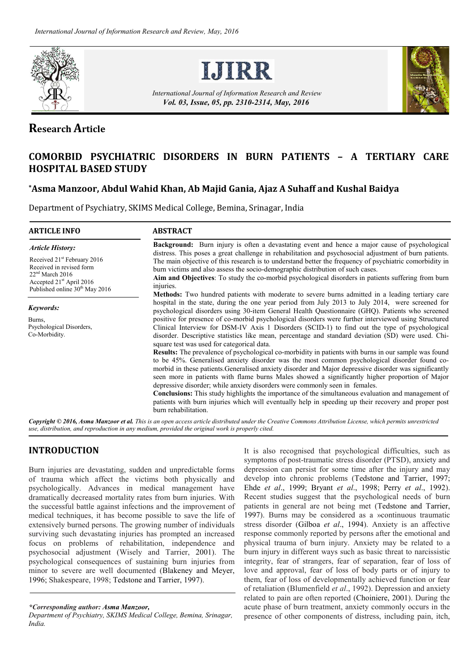



*International Journal of Information Research and Review Vol. 03, Issue, 05, pp. 2310-2314, May, 2016*



# **Research Article**

# **COMORBID PSYCHIATRIC DISORDERS IN BURN PATIENTS – A TERTIARY CARE HOSPITAL BASED STUDY**

# **\*Asma Manzoor, Abdul Wahid Khan, Ab Majid Gania, Ajaz A Suhaff and Kushal Baidya**

Department of Psychiatry, SKIMS Medical College, Bemina, Srinagar, India

| <b>ARTICLE INFO</b>                                                                                                                                                            | <b>ABSTRACT</b>                                                                                                                                                                                                                                                                                                                                                                                                                                                                                                                                                                                                                                                                                                                                     |  |  |  |  |  |
|--------------------------------------------------------------------------------------------------------------------------------------------------------------------------------|-----------------------------------------------------------------------------------------------------------------------------------------------------------------------------------------------------------------------------------------------------------------------------------------------------------------------------------------------------------------------------------------------------------------------------------------------------------------------------------------------------------------------------------------------------------------------------------------------------------------------------------------------------------------------------------------------------------------------------------------------------|--|--|--|--|--|
| <b>Article History:</b>                                                                                                                                                        | <b>Background:</b> Burn injury is often a devastating event and hence a major cause of psychological                                                                                                                                                                                                                                                                                                                                                                                                                                                                                                                                                                                                                                                |  |  |  |  |  |
| Received 21 <sup>st</sup> February 2016<br>Received in revised form<br>$22nd$ March 2016<br>Accepted 21 <sup>st</sup> April 2016<br>Published online 30 <sup>th</sup> May 2016 | distress. This poses a great challenge in rehabilitation and psychosocial adjustment of burn patients.<br>The main objective of this research is to understand better the frequency of psychiatric comorbidity in<br>burn victims and also assess the socio-demographic distribution of such cases.<br>Aim and Objectives: To study the co-morbid psychological disorders in patients suffering from burn<br>injuries.                                                                                                                                                                                                                                                                                                                              |  |  |  |  |  |
| Keywords:<br>Burns,<br>Psychological Disorders,<br>Co-Morbidity.                                                                                                               | <b>Methods:</b> Two hundred patients with moderate to severe burns admitted in a leading tertiary care<br>hospital in the state, during the one year period from July 2013 to July 2014, were screened for<br>psychological disorders using 30-item General Health Questionnaire (GHQ). Patients who screened<br>positive for presence of co-morbid psychological disorders were further interviewed using Structured<br>Clinical Interview for DSM-IV Axis 1 Disorders (SCID-1) to find out the type of psychological<br>disorder. Descriptive statistics like mean, percentage and standard deviation (SD) were used. Chi-<br>square test was used for categorical data.                                                                          |  |  |  |  |  |
|                                                                                                                                                                                | <b>Results:</b> The prevalence of psychological co-morbidity in patients with burns in our sample was found<br>to be 45%. Generalised anxiety disorder was the most common psychological disorder found co-<br>morbid in these patients. Generalised anxiety disorder and Major depressive disorder was significantly<br>seen more in patients with flame burns Males showed a significantly higher proportion of Major<br>depressive disorder; while anxiety disorders were commonly seen in females.<br><b>Conclusions:</b> This study highlights the importance of the simultaneous evaluation and management of<br>patients with burn injuries which will eventually help in speeding up their recovery and proper post<br>burn rehabilitation. |  |  |  |  |  |

*Copyright © 2016, Asma Manzoor et al. This is an open access article distributed under the Creative Commons Attribution License, which permits unrestricted use, distribution, and reproduction in any medium, provided the original work is properly cited.*

# **INTRODUCTION**

Burn injuries are devastating, sudden and unpredictable forms of trauma which affect the victims both physically and psychologically. Advances in medical management have dramatically decreased mortality rates from burn injuries. With the successful battle against infections and the improvement of medical techniques, it has become possible to save the life of extensively burned persons. The growing number of individuals surviving such devastating injuries has prompted an increased focus on problems of rehabilitation, independence and psychosocial adjustment (Wisely and Tarrier, 2001). The psychological consequences of sustaining burn injuries from minor to severe are well documented (Blakeney and Meyer, 1996; Shakespeare, 1998; Tedstone and Tarrier, 1997).

It is also recognised that psychological difficulties, such as symptoms of post-traumatic stress disorder (PTSD), anxiety and depression can persist for some time after the injury and may develop into chronic problems (Tedstone and Tarrier, 1997; Ehde *et al*., 1999; Bryant *et al*., 1998; Perry *et al*., 1992). Recent studies suggest that the psychological needs of burn patients in general are not being met (Tedstone and Tarrier, 1997). Burns may be considered as a »continuous traumatic stress disorder (Gilboa *et al*., 1994). Anxiety is an affective response commonly reported by persons after the emotional and physical trauma of burn injury. Anxiety may be related to a burn injury in different ways such as basic threat to narcissistic integrity, fear of strangers, fear of separation, fear of loss of love and approval, fear of loss of body parts or of injury to them, fear of loss of developmentally achieved function or fear of retaliation (Blumenfield *et al*., 1992). Depression and anxiety related to pain are often reported (Choiniere, 2001). During the acute phase of burn treatment, anxiety commonly occurs in the presence of other components of distress, including pain, itch,

*<sup>\*</sup>Corresponding author: Asma Manzoor,*

*Department of Psychiatry, SKIMS Medical College, Bemina, Srinagar, India.*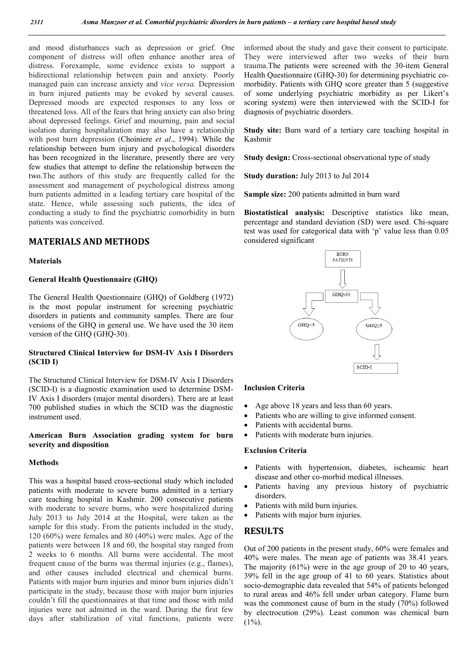and mood disturbances such as depression or grief. One component of distress will often enhance another area of distress. Forexample, some evidence exists to support a bidirectional relationship between pain and anxiety. Poorly managed pain can increase anxiety and *vice versa*. Depression in burn injured patients may be evoked by several causes. Depressed moods are expected responses to any loss or threatened loss. All of the fears that bring anxiety can also bring about depressed feelings. Grief and mourning, pain and social isolation during hospitalization may also have a relationship with post burn depression (Choiniere *et al*., 1994). While the relationship between burn injury and psychological disorders has been recognized in the literature, presently there are very few studies that attempt to define the relationship between the two.The authors of this study are frequently called for the assessment and management of psychological distress among burn patients admitted in a leading tertiary care hospital of the state. Hence, while assessing such patients, the idea of conducting a study to find the psychiatric comorbidity in burn patients was conceived.

# **MATERIALS AND METHODS**

#### **Materials**

#### **General Health Questionnaire (GHQ)**

The General Health Questionnaire (GHQ) of Goldberg (1972) is the most popular instrument for screening psychiatric disorders in patients and community samples. There are four versions of the GHQ in general use. We have used the 30 item version of the GHQ (GHQ-30).

#### **Structured Clinical Interview for DSM-IV Axis I Disorders (SCID I)**

The Structured Clinical Interview for DSM-IV Axis I Disorders (SCID-I) is a diagnostic examination used to determine DSM-IV Axis I disorders (major mental disorders). There are at least 700 published studies in which the SCID was the diagnostic instrument used.

### **American Burn Association grading system for burn severity and disposition**

#### **Methods**

This was a hospital based cross-sectional study which included patients with moderate to severe burns admitted in a tertiary care teaching hospital in Kashmir. 200 consecutive patients with moderate to severe burns, who were hospitalized during July 2013 to July 2014 at the Hospital, were taken as the sample for this study. From the patients included in the study, 120 (60%) were females and 80 (40%) were males. Age of the patients were between 18 and 60, the hospital stay ranged from 2 weeks to 6 months. All burns were accidental. The most frequent cause of the burns was thermal injuries (e.g., flames), and other causes included electrical and chemical burns. Patients with major burn injuries and minor burn injuries didn't participate in the study, because those with major burn injuries couldn't fill the questionnaires at that time and those with mild injuries were not admitted in the ward. During the first few days after stabilization of vital functions, patients were

informed about the study and gave their consent to participate. They were interviewed after two weeks of their burn trauma.The patients were screened with the 30-item General Health Questionnaire (GHQ-30) for determining psychiatric comorbidity. Patients with GHQ score greater than 5 (suggestive of some underlying psychiatric morbidity as per Likert's scoring system) were then interviewed with the SCID-I for diagnosis of psychiatric disorders.

**Study site:** Burn ward of a tertiary care teaching hospital in Kashmir

**Study design:** Cross-sectional observational type of study

**Study duration:** July 2013 to Jul 2014

**Sample size:** 200 patients admitted in burn ward

**Biostatistical analysis:** Descriptive statistics like mean, percentage and standard deviation (SD) were used. Chi-square test was used for categorical data with 'p' value less than 0.05 considered significant



#### **Inclusion Criteria**

- Age above 18 years and less than 60 years.
- Patients who are willing to give informed consent.
- Patients with accidental burns.
- Patients with moderate burn injuries.

#### **Exclusion Criteria**

- Patients with hypertension, diabetes, ischeamic heart disease and other co-morbid medical illnesses.
- Patients having any previous history of psychiatric disorders.
- Patients with mild burn injuries.
- Patients with major burn injuries.

### **RESULTS**

Out of 200 patients in the present study, 60% were females and 40% were males. The mean age of patients was 38.41 years. The majority (61%) were in the age group of 20 to 40 years, 39% fell in the age group of 41 to 60 years. Statistics about socio-demographic data revealed that 54% of patients belonged to rural areas and 46% fell under urban category. Flame burn was the commonest cause of burn in the study (70%) followed by electrocution (29%). Least common was chemical burn  $(1\%)$ .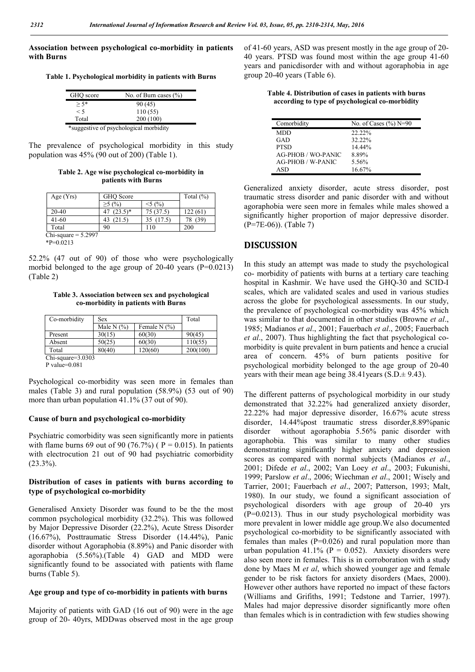**Association between psychological co-morbidity in patients with Burns**

**Table 1. Psychological morbidity in patients with Burns**

| GHO score | No. of Burn cases $(\% )$ |
|-----------|---------------------------|
| $> 5*$    | 90(45)                    |
| < 5       | 110(55)                   |
| Total     | 200 (100)                 |
|           |                           |

\*suggestive of psychological morbidity

The prevalence of psychological morbidity in this study population was 45% (90 out of 200) (Table 1).

**Table 2. Age wise psychological co-morbidity in patients with Burns**

| Age $(Yrs)$           | GHO Score  | Total $(\% )$ |         |  |
|-----------------------|------------|---------------|---------|--|
|                       | $($ %)     | 5(%)          |         |  |
| $20-40$               | $(23.5)^*$ | 75 (37.5)     | 122(61) |  |
| $41-60$               | 21.5)      | 35 (17.5)     |         |  |
| Total                 | 90         | 110           | 200     |  |
| Chi-square $= 5.2997$ |            |               |         |  |

\*P=0.0213

52.2% (47 out of 90) of those who were psychologically morbid belonged to the age group of 20-40 years (P=0.0213) (Table 2)

**Table 3. Association between sex and psychological co-morbidity in patients with Burns**

| Co-morbidity      | Sex          | Total          |          |
|-------------------|--------------|----------------|----------|
|                   | Male N $(%)$ | Female N $(%)$ |          |
| Present           | 30(15)       | 60(30)         | 90(45)   |
| Absent            | 50(25)       | 60(30)         | 110(55)  |
| Total             | 80(40)       | 120(60)        | 200(100) |
| Chi-square=3.0303 |              |                |          |

P value=0.081

Psychological co-morbidity was seen more in females than males (Table 3) and rural population (58.9%) (53 out of 90) more than urban population 41.1% (37 out of 90).

#### **Cause of burn and psychological co-morbidity**

Psychiatric comorbidity was seen significantly more in patients with flame burns 69 out of 90 (76.7%) ( $P = 0.015$ ). In patients with electrocution 21 out of 90 had psychiatric comorbidity  $(23.3\%)$ .

#### **Distribution of cases in patients with burns according to type of psychological co-morbidity**

Generalised Anxiety Disorder was found to be the the most common psychological morbidity (32.2%). This was followed by Major Depressive Disorder (22.2%), Acute Stress Disorder (16.67%), Posttraumatic Stress Disorder (14.44%), Panic disorder without Agoraphobia (8.89%) and Panic disorder with agoraphobia (5.56%).(Table 4) GAD and MDD were significantly found to be associated with patients with flame burns (Table 5).

#### **Age group and type of co-morbidity in patients with burns**

Majority of patients with GAD (16 out of 90) were in the age group of 20- 40yrs, MDDwas observed most in the age group of 41-60 years, ASD was present mostly in the age group of 20- 40 years. PTSD was found most within the age group 41-60 years and panicdisorder with and without agoraphobia in age group 20-40 years (Table 6).

**Table 4. Distribution of cases in patients with burns according to type of psychological co-morbidity**

| Comorbidity               | No. of Cases $(\%$ ) N=90 |
|---------------------------|---------------------------|
| <b>MDD</b>                | $22.22\%$                 |
| GAD                       | 32.22%                    |
| <b>PTSD</b>               | $14.44\%$                 |
| <b>AG-PHOB / WO-PANIC</b> | 8.89%                     |
| AG-PHOB / W-PANIC         | 5.56%                     |
| ASD                       | 16.67%                    |

Generalized anxiety disorder, acute stress disorder, post traumatic stress disorder and panic disorder with and without agoraphobia were seen more in females while males showed a significantly higher proportion of major depressive disorder. (P=7E-06)). (Table 7)

## **DISCUSSION**

In this study an attempt was made to study the psychological co- morbidity of patients with burns at a tertiary care teaching hospital in Kashmir. We have used the GHQ-30 and SCID-I scales, which are validated scales and used in various studies across the globe for psychological assessments. In our study, the prevalence of psychological co-morbidity was 45% which was similar to that documented in other studies (Browne *et al*., 1985; Madianos *et al*., 2001; Fauerbach *et al*., 2005; Fauerbach *et al*., 2007). Thus highlighting the fact that psychological comorbidity is quite prevalent in burn patients and hence a crucial area of concern. 45% of burn patients positive for psychological morbidity belonged to the age group of 20-40 years with their mean age being  $38.41$  years (S.D. $\pm$  9.43).

The different patterns of psychological morbidity in our study demonstrated that 32.22% had generalized anxiety disorder, 22.22% had major depressive disorder, 16.67% acute stress disorder, 14.44%post traumatic stress disorder,8.89%panic disorder without agoraphobia 5.56% panic disorder with agoraphobia. This was similar to many other studies demonstrating significantly higher anxiety and depression scores as compared with normal subjects (Madianos *et al*., 2001; Difede *et al*., 2002; Van Loey *et al*., 2003; Fukunishi, 1999; Parslow *et al*., 2006; Wiechman *et al*., 2001; Wisely and Tarrier, 2001; Fauerbach *et al*., 2007; Patterson, 1993; Malt, 1980). In our study, we found a significant association of psychological disorders with age group of 20-40 yrs  $(P=0.0213)$ . Thus in our study psychological morbidity was more prevalent in lower middle age group.We also documented psychological co-morbidity to be significantly associated with females than males  $(P=0.026)$  and rural population more than urban population 41.1% ( $P = 0.052$ ). Anxiety disorders were also seen more in females. This is in corroboration with a study done by Maes M *et al*, which showed younger age and female gender to be risk factors for anxiety disorders (Maes, 2000). However other authors have reported no impact of these factors (Williams and Grifiths, 1991; Tedstone and Tarrier, 1997). Males had major depressive disorder significantly more often than females which is in contradiction with few studies showing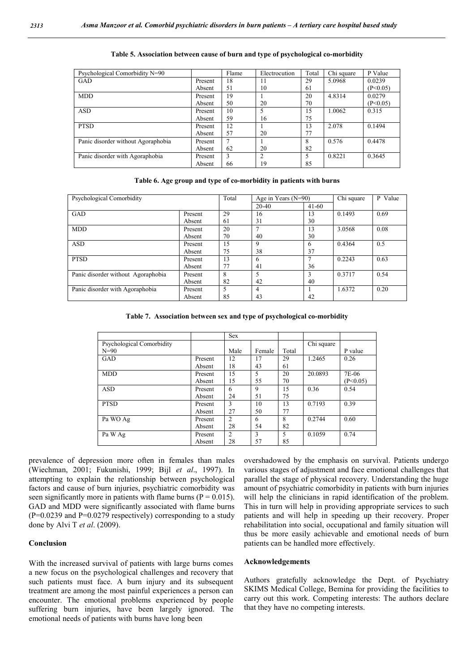| Psychological Comorbidity N=90     |         | Flame | Electrocution | Total | Chi square | P Value  |
|------------------------------------|---------|-------|---------------|-------|------------|----------|
| GAD                                | Present | 18    | 11            | 29    | 5.0968     | 0.0239   |
|                                    | Absent  | 51    | 10            | 61    |            | (P<0.05) |
| <b>MDD</b>                         | Present | 19    |               | 20    | 4.8314     | 0.0279   |
|                                    | Absent  | 50    | 20            | 70    |            | (P<0.05) |
| <b>ASD</b>                         | Present | 10    |               | 15    | 1.0062     | 0.315    |
|                                    | Absent  | 59    | 16            | 75    |            |          |
| <b>PTSD</b>                        | Present | 12    |               | 13    | 2.078      | 0.1494   |
|                                    | Absent  | 57    | 20            | 77    |            |          |
| Panic disorder without Agoraphobia | Present | 7     |               | 8     | 0.576      | 0.4478   |
|                                    | Absent  | 62    | 20            | 82    |            |          |
| Panic disorder with Agoraphobia    | Present | 3     | 2             | 5     | 0.8221     | 0.3645   |
|                                    | Absent  | 66    | 19            | 85    |            |          |

#### **Table 5. Association between cause of burn and type of psychological co-morbidity**

**Table 6. Age group and type of co-morbidity in patients with burns**

| Psychological Comorbidity          |         | Total | Age in Years $(N=90)$ |         | Chi square | P Value |
|------------------------------------|---------|-------|-----------------------|---------|------------|---------|
|                                    |         |       | $20-40$               | $41-60$ |            |         |
| <b>GAD</b>                         | Present | 29    | 16                    | 13      | 0.1493     | 0.69    |
|                                    | Absent  | 61    | 31                    | 30      |            |         |
| <b>MDD</b>                         | Present | 20    |                       | 13      | 3.0568     | 0.08    |
|                                    | Absent  | 70    | 40                    | 30      |            |         |
| <b>ASD</b>                         | Present | 15    | 9                     | 6       | 0.4364     | 0.5     |
|                                    | Absent  | 75    | 38                    | 37      |            |         |
| <b>PTSD</b>                        | Present | 13    | 6                     |         | 0.2243     | 0.63    |
|                                    | Absent  | 77    | 41                    | 36      |            |         |
| Panic disorder without Agoraphobia | Present | 8     |                       | 3       | 0.3717     | 0.54    |
|                                    | Absent  | 82    | 42                    | 40      |            |         |
| Panic disorder with Agoraphobia    | Present | 5     | 4                     |         | 1.6372     | 0.20    |
|                                    | Absent  | 85    | 43                    | 42      |            |         |

**Table 7. Association between sex and type of psychological co-morbidity**

|                           |         | <b>Sex</b>     |        |       |            |          |
|---------------------------|---------|----------------|--------|-------|------------|----------|
| Psychological Comorbidity |         |                |        |       | Chi square |          |
| $N=90$                    |         | Male           | Female | Total |            | P value  |
| <b>GAD</b>                | Present | 12             | 17     | 29    | 1.2465     | 0.26     |
|                           | Absent  | 18             | 43     | 61    |            |          |
| <b>MDD</b>                | Present | 15             | 5      | 20    | 20.0893    | 7E-06    |
|                           | Absent  | 15             | 55     | 70    |            | (P<0.05) |
| <b>ASD</b>                | Present | 6              | 9      | 15    | 0.36       | 0.54     |
|                           | Absent  | 24             | 51     | 75    |            |          |
| <b>PTSD</b>               | Present | 3              | 10     | 13    | 0.7193     | 0.39     |
|                           | Absent  | 27             | 50     | 77    |            |          |
| Pa WO Ag                  | Present | $\overline{c}$ | 6      | 8     | 0.2744     | 0.60     |
|                           | Absent  | 28             | 54     | 82    |            |          |
| Pa W Ag                   | Present | $\overline{c}$ | 3      | 5     | 0.1059     | 0.74     |
|                           | Absent  | 28             | 57     | 85    |            |          |

prevalence of depression more often in females than males (Wiechman, 2001; Fukunishi, 1999; Bijl *et al*., 1997). In attempting to explain the relationship between psychological factors and cause of burn injuries, psychiatric comorbidity was seen significantly more in patients with flame burns ( $P = 0.015$ ). GAD and MDD were significantly associated with flame burns  $(P=0.0239$  and  $P=0.0279$  respectively) corresponding to a study done by Alvi T *et al*. (2009).

#### **Conclusion**

With the increased survival of patients with large burns comes a new focus on the psychological challenges and recovery that such patients must face. A burn injury and its subsequent treatment are among the most painful experiences a person can encounter. The emotional problems experienced by people suffering burn injuries, have been largely ignored. The emotional needs of patients with burns have long been

overshadowed by the emphasis on survival. Patients undergo various stages of adjustment and face emotional challenges that parallel the stage of physical recovery. Understanding the huge amount of psychiatric comorbidity in patients with burn injuries will help the clinicians in rapid identification of the problem. This in turn will help in providing appropriate services to such patients and will help in speeding up their recovery. Proper rehabilitation into social, occupational and family situation will thus be more easily achievable and emotional needs of burn patients can be handled more effectively.

#### **Acknowledgements**

Authors gratefully acknowledge the Dept. of Psychiatry SKIMS Medical College, Bemina for providing the facilities to carry out this work. Competing interests: The authors declare that they have no competing interests.